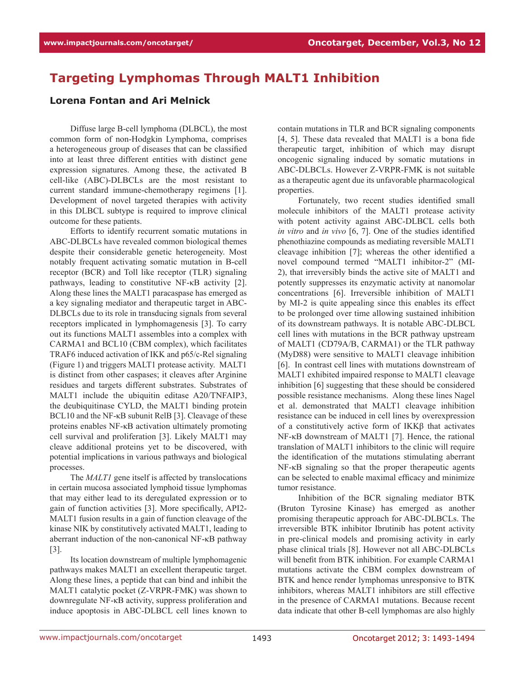## **Targeting Lymphomas Through MALT1 Inhibition**

## **Lorena Fontan and Ari Melnick**

Diffuse large B-cell lymphoma (DLBCL), the most common form of non-Hodgkin Lymphoma, comprises a heterogeneous group of diseases that can be classified into at least three different entities with distinct gene expression signatures. Among these, the activated B cell-like (ABC)-DLBCLs are the most resistant to current standard immune-chemotherapy regimens [1]. Development of novel targeted therapies with activity in this DLBCL subtype is required to improve clinical outcome for these patients.

Efforts to identify recurrent somatic mutations in ABC-DLBCLs have revealed common biological themes despite their considerable genetic heterogeneity. Most notably frequent activating somatic mutation in B-cell receptor (BCR) and Toll like receptor (TLR) signaling pathways, leading to constitutive NF-κB activity [2]. Along these lines the MALT1 paracaspase has emerged as a key signaling mediator and therapeutic target in ABC-DLBCLs due to its role in transducing signals from several receptors implicated in lymphomagenesis [3]. To carry out its functions MALT1 assembles into a complex with CARMA1 and BCL10 (CBM complex), which facilitates TRAF6 induced activation of IKK and p65/c-Rel signaling (Figure 1) and triggers MALT1 protease activity. MALT1 is distinct from other caspases; it cleaves after Arginine residues and targets different substrates. Substrates of MALT1 include the ubiquitin editase A20/TNFAIP3, the deubiquitinase CYLD, the MALT1 binding protein BCL10 and the NF-κB subunit RelB [3]. Cleavage of these proteins enables NF-κB activation ultimately promoting cell survival and proliferation [3]. Likely MALT1 may cleave additional proteins yet to be discovered, with potential implications in various pathways and biological processes.

The *MALT1* gene itself is affected by translocations in certain mucosa associated lymphoid tissue lymphomas that may either lead to its deregulated expression or to gain of function activities [3]. More specifically, API2- MALT1 fusion results in a gain of function cleavage of the kinase NIK by constitutively activated MALT1, leading to aberrant induction of the non-canonical NF-κB pathway [3].

Its location downstream of multiple lymphomagenic pathways makes MALT1 an excellent therapeutic target. Along these lines, a peptide that can bind and inhibit the MALT1 catalytic pocket (Z-VRPR-FMK) was shown to downregulate NF-κB activity, suppress proliferation and induce apoptosis in ABC-DLBCL cell lines known to contain mutations in TLR and BCR signaling components [4, 5]. These data revealed that MALT1 is a bona fide therapeutic target, inhibition of which may disrupt oncogenic signaling induced by somatic mutations in ABC-DLBCLs. However Z-VRPR-FMK is not suitable as a therapeutic agent due its unfavorable pharmacological properties.

Fortunately, two recent studies identified small molecule inhibitors of the MALT1 protease activity with potent activity against ABC-DLBCL cells both *in vitro* and *in vivo* [6, 7]. One of the studies identified phenothiazine compounds as mediating reversible MALT1 cleavage inhibition [7]; whereas the other identified a novel compound termed "MALT1 inhibitor-2" (MI-2), that irreversibly binds the active site of MALT1 and potently suppresses its enzymatic activity at nanomolar concentrations [6]. Irreversible inhibition of MALT1 by MI-2 is quite appealing since this enables its effect to be prolonged over time allowing sustained inhibition of its downstream pathways. It is notable ABC-DLBCL cell lines with mutations in the BCR pathway upstream of MALT1 (CD79A/B, CARMA1) or the TLR pathway (MyD88) were sensitive to MALT1 cleavage inhibition [6]. In contrast cell lines with mutations downstream of MALT1 exhibited impaired response to MALT1 cleavage inhibition [6] suggesting that these should be considered possible resistance mechanisms. Along these lines Nagel et al. demonstrated that MALT1 cleavage inhibition resistance can be induced in cell lines by overexpression of a constitutively active form of IKKβ that activates NF-κB downstream of MALT1 [7]. Hence, the rational translation of MALT1 inhibitors to the clinic will require the identification of the mutations stimulating aberrant NF-κB signaling so that the proper therapeutic agents can be selected to enable maximal efficacy and minimize tumor resistance.

Inhibition of the BCR signaling mediator BTK (Bruton Tyrosine Kinase) has emerged as another promising therapeutic approach for ABC-DLBCLs. The irreversible BTK inhibitor Ibrutinib has potent activity in pre-clinical models and promising activity in early phase clinical trials [8]. However not all ABC-DLBCLs will benefit from BTK inhibition. For example CARMA1 mutations activate the CBM complex downstream of BTK and hence render lymphomas unresponsive to BTK inhibitors, whereas MALT1 inhibitors are still effective in the presence of CARMA1 mutations. Because recent data indicate that other B-cell lymphomas are also highly